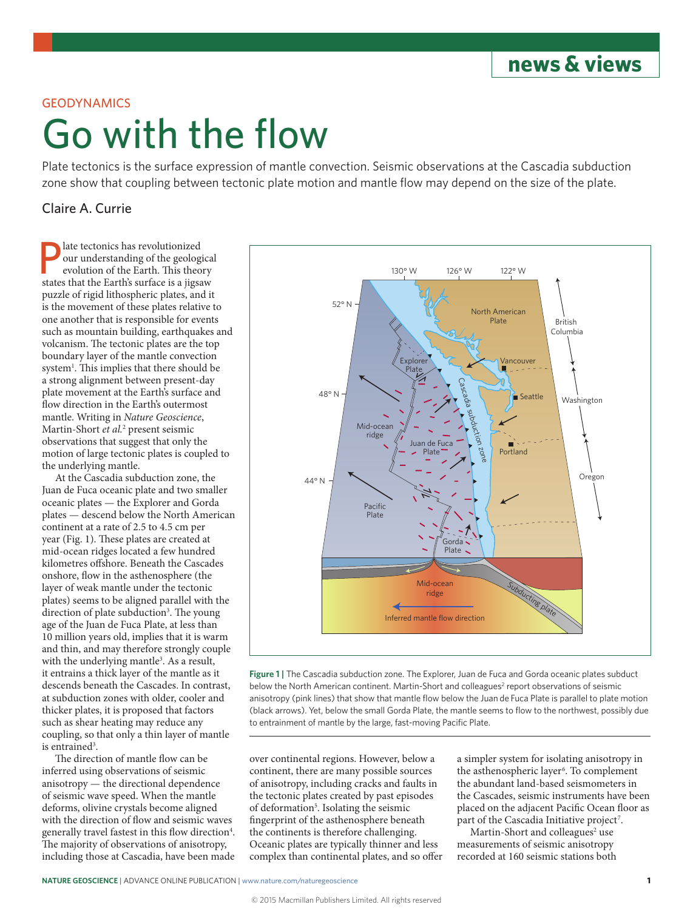**news & views**

## GEODYNAMICS

## Go with the flow

Plate tectonics is the surface expression of mantle convection. Seismic observations at the Cascadia subduction zone show that coupling between tectonic plate motion and mantle flow may depend on the size of the plate.

## Claire A. Currie

**P** late tectonics has revolutionized<br>our understanding of the geologievolution of the Earth. This theoretics<br>states that the Earth's surface is a jiges our understanding of the geological evolution of the Earth. This theory states that the Earth's surface is a jigsaw puzzle of rigid lithospheric plates, and it is the movement of these plates relative to one another that is responsible for events such as mountain building, earthquakes and volcanism. The tectonic plates are the top boundary layer of the mantle convection system<sup>1</sup>. This implies that there should be a strong alignment between present-day plate movement at the Earth's surface and flow direction in the Earth's outermost mantle. Writing in *Nature Geoscience*, Martin-Short *et al.*<sup>2</sup> present seismic observations that suggest that only the motion of large tectonic plates is coupled to the underlying mantle.

At the Cascadia subduction zone, the Juan de Fuca oceanic plate and two smaller oceanic plates — the Explorer and Gorda plates — descend below the North American continent at a rate of 2.5 to 4.5 cm per year (Fig. 1). These plates are created at mid-ocean ridges located a few hundred kilometres offshore. Beneath the Cascades onshore, flow in the asthenosphere (the layer of weak mantle under the tectonic plates) seems to be aligned parallel with the direction of plate subduction<sup>3</sup>. The young age of the Juan de Fuca Plate, at less than 10 million years old, implies that it is warm and thin, and may therefore strongly couple with the underlying mantle<sup>3</sup>. As a result, it entrains a thick layer of the mantle as it descends beneath the Cascades. In contrast, at subduction zones with older, cooler and thicker plates, it is proposed that factors such as shear heating may reduce any coupling, so that only a thin layer of mantle is entrained<sup>3</sup>.

The direction of mantle flow can be inferred using observations of seismic anisotropy — the directional dependence of seismic wave speed. When the mantle deforms, olivine crystals become aligned with the direction of flow and seismic waves generally travel fastest in this flow direction<sup>4</sup>. The majority of observations of anisotropy, including those at Cascadia, have been made



**Figure 1 |** The Cascadia subduction zone. The Explorer, Juan de Fuca and Gorda oceanic plates subduct below the North American continent. Martin-Short and colleagues<sup>2</sup> report observations of seismic anisotropy (pink lines) that show that mantle flow below the Juan de Fuca Plate is parallel to plate motion (black arrows). Yet, below the small Gorda Plate, the mantle seems to flow to the northwest, possibly due to entrainment of mantle by the large, fast-moving Pacific Plate.

over continental regions. However, below a continent, there are many possible sources of anisotropy, including cracks and faults in the tectonic plates created by past episodes of deformation<sup>5</sup>. Isolating the seismic fingerprint of the asthenosphere beneath the continents is therefore challenging. Oceanic plates are typically thinner and less complex than continental plates, and so offer a simpler system for isolating anisotropy in the asthenospheric layer<sup>6</sup>. To complement the abundant land-based seismometers in the Cascades, seismic instruments have been placed on the adjacent Pacific Ocean floor as part of the Cascadia Initiative project<sup>7</sup>.

Martin-Short and colleagues<sup>2</sup> use measurements of seismic anisotropy recorded at 160 seismic stations both